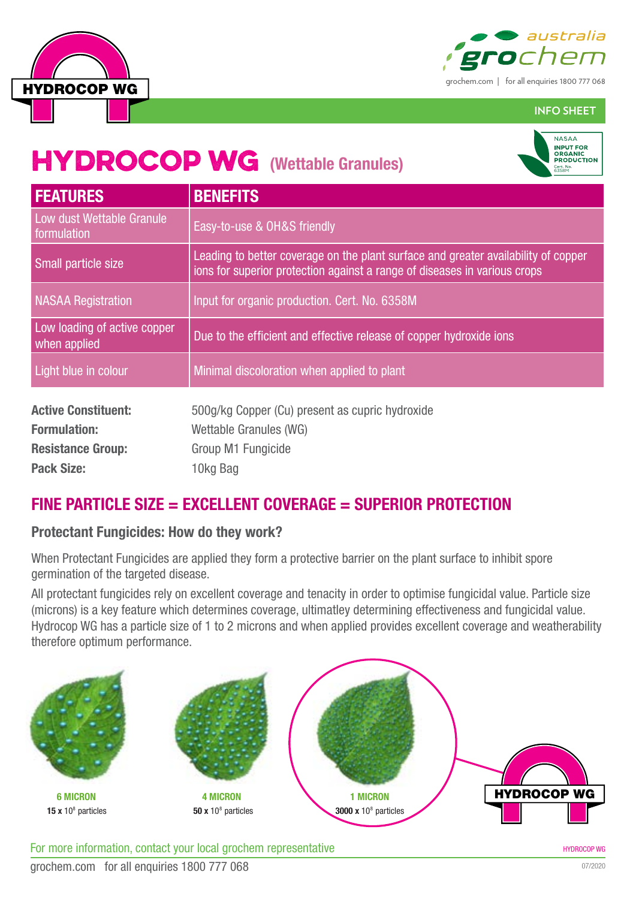



**INFO SHEET**

## **HYDROCOP WG (Wettable Granules)**



| <b>FEATURES</b>                              | <b>BENEFITS</b>                                                                                                                                                 |  |  |
|----------------------------------------------|-----------------------------------------------------------------------------------------------------------------------------------------------------------------|--|--|
| Low dust Wettable Granule<br>formulation     | Easy-to-use & OH&S friendly                                                                                                                                     |  |  |
| Small particle size                          | Leading to better coverage on the plant surface and greater availability of copper<br>ions for superior protection against a range of diseases in various crops |  |  |
| <b>NASAA Registration</b>                    | Input for organic production. Cert. No. 6358M                                                                                                                   |  |  |
| Low loading of active copper<br>when applied | Due to the efficient and effective release of copper hydroxide ions                                                                                             |  |  |
| Light blue in colour                         | Minimal discoloration when applied to plant                                                                                                                     |  |  |
| <b>Active Constituent:</b>                   | 500g/kg Copper (Cu) present as cupric hydroxide                                                                                                                 |  |  |
| <b>Formulation:</b>                          | Wettable Granules (WG)                                                                                                                                          |  |  |
| <b>Resistance Group:</b>                     | Group M1 Fungicide                                                                                                                                              |  |  |
| <b>Pack Size:</b>                            | 10kg Bag                                                                                                                                                        |  |  |

### **FINE PARTICLE SIZE = EXCELLENT COVERAGE = SUPERIOR PROTECTION**

#### **Protectant Fungicides: How do they work?**

When Protectant Fungicides are applied they form a protective barrier on the plant surface to inhibit spore germination of the targeted disease.

All protectant fungicides rely on excellent coverage and tenacity in order to optimise fungicidal value. Particle size (microns) is a key feature which determines coverage, ultimatley determining effectiveness and fungicidal value. Hydrocop WG has a particle size of 1 to 2 microns and when applied provides excellent coverage and weatherability therefore optimum performance.